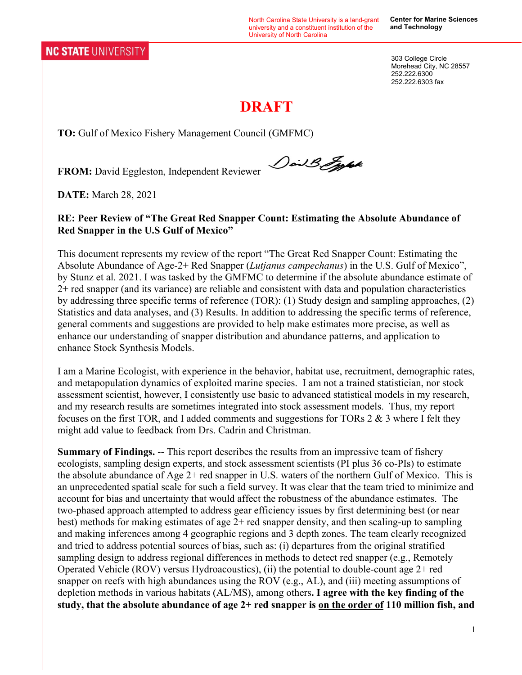North Carolina State University is a land-grant university and a constituent institution of the University of North Carolina

**Center for Marine Sciences and Technology** 

303 College Circle Morehead City, NC 28557 252.222.6300 252.222.6303 fax

# **DRAFT**

**TO:** Gulf of Mexico Fishery Management Council (GMFMC)

**FROM:** David Eggleston, Independent Reviewer

Dail B. Egypt

**DATE:** March 28, 2021

#### **RE: Peer Review of "The Great Red Snapper Count: Estimating the Absolute Abundance of Red Snapper in the U.S Gulf of Mexico"**

This document represents my review of the report "The Great Red Snapper Count: Estimating the Absolute Abundance of Age-2+ Red Snapper (*Lutjanus campechanus*) in the U.S. Gulf of Mexico", by Stunz et al. 2021. I was tasked by the GMFMC to determine if the absolute abundance estimate of 2+ red snapper (and its variance) are reliable and consistent with data and population characteristics by addressing three specific terms of reference (TOR): (1) Study design and sampling approaches, (2) Statistics and data analyses, and (3) Results. In addition to addressing the specific terms of reference, general comments and suggestions are provided to help make estimates more precise, as well as enhance our understanding of snapper distribution and abundance patterns, and application to enhance Stock Synthesis Models.

I am a Marine Ecologist, with experience in the behavior, habitat use, recruitment, demographic rates, and metapopulation dynamics of exploited marine species. I am not a trained statistician, nor stock assessment scientist, however, I consistently use basic to advanced statistical models in my research, and my research results are sometimes integrated into stock assessment models. Thus, my report focuses on the first TOR, and I added comments and suggestions for TORs  $2 \& 3$  where I felt they might add value to feedback from Drs. Cadrin and Christman.

**Summary of Findings.** -- This report describes the results from an impressive team of fishery ecologists, sampling design experts, and stock assessment scientists (PI plus 36 co-PIs) to estimate the absolute abundance of Age 2+ red snapper in U.S. waters of the northern Gulf of Mexico. This is an unprecedented spatial scale for such a field survey. It was clear that the team tried to minimize and account for bias and uncertainty that would affect the robustness of the abundance estimates. The two-phased approach attempted to address gear efficiency issues by first determining best (or near best) methods for making estimates of age 2+ red snapper density, and then scaling-up to sampling and making inferences among 4 geographic regions and 3 depth zones. The team clearly recognized and tried to address potential sources of bias, such as: (i) departures from the original stratified sampling design to address regional differences in methods to detect red snapper (e.g., Remotely Operated Vehicle (ROV) versus Hydroacoustics), (ii) the potential to double-count age 2+ red snapper on reefs with high abundances using the ROV (e.g., AL), and (iii) meeting assumptions of depletion methods in various habitats (AL/MS), among others**. I agree with the key finding of the study, that the absolute abundance of age 2+ red snapper is on the order of 110 million fish, and**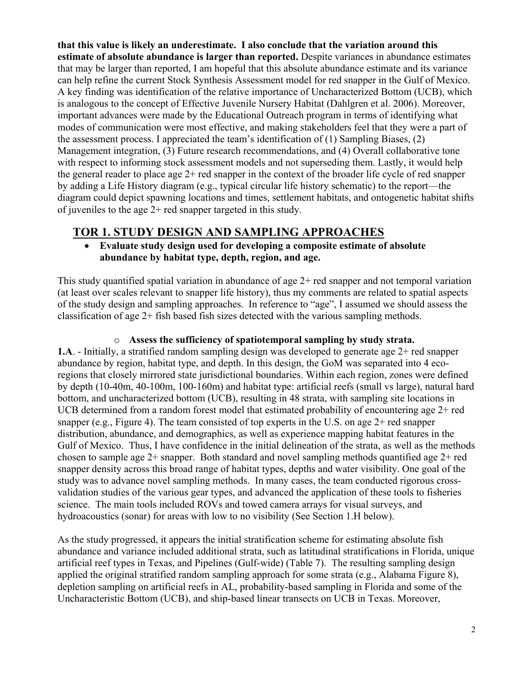**that this value is likely an underestimate. I also conclude that the variation around this estimate of absolute abundance is larger than reported.** Despite variances in abundance estimates that may be larger than reported, I am hopeful that this absolute abundance estimate and its variance can help refine the current Stock Synthesis Assessment model for red snapper in the Gulf of Mexico. A key finding was identification of the relative importance of Uncharacterized Bottom (UCB), which is analogous to the concept of Effective Juvenile Nursery Habitat (Dahlgren et al. 2006). Moreover, important advances were made by the Educational Outreach program in terms of identifying what modes of communication were most effective, and making stakeholders feel that they were a part of the assessment process. I appreciated the team's identification of (1) Sampling Biases, (2) Management integration, (3) Future research recommendations, and (4) Overall collaborative tone with respect to informing stock assessment models and not superseding them. Lastly, it would help the general reader to place age 2+ red snapper in the context of the broader life cycle of red snapper by adding a Life History diagram (e.g., typical circular life history schematic) to the report—the diagram could depict spawning locations and times, settlement habitats, and ontogenetic habitat shifts of juveniles to the age 2+ red snapper targeted in this study.

## **TOR 1. STUDY DESIGN AND SAMPLING APPROACHES**

 **Evaluate study design used for developing a composite estimate of absolute abundance by habitat type, depth, region, and age.** 

This study quantified spatial variation in abundance of age 2+ red snapper and not temporal variation (at least over scales relevant to snapper life history), thus my comments are related to spatial aspects of the study design and sampling approaches. In reference to "age", I assumed we should assess the classification of age 2+ fish based fish sizes detected with the various sampling methods.

o **Assess the sufficiency of spatiotemporal sampling by study strata. 1.A**. - Initially, a stratified random sampling design was developed to generate age 2+ red snapper abundance by region, habitat type, and depth. In this design, the GoM was separated into 4 ecoregions that closely mirrored state jurisdictional boundaries. Within each region, zones were defined by depth (10-40m, 40-100m, 100-160m) and habitat type: artificial reefs (small vs large), natural hard bottom, and uncharacterized bottom (UCB), resulting in 48 strata, with sampling site locations in UCB determined from a random forest model that estimated probability of encountering age 2+ red snapper (e.g., Figure 4). The team consisted of top experts in the U.S. on age 2+ red snapper distribution, abundance, and demographics, as well as experience mapping habitat features in the Gulf of Mexico. Thus, I have confidence in the initial delineation of the strata, as well as the methods chosen to sample age 2+ snapper. Both standard and novel sampling methods quantified age 2+ red snapper density across this broad range of habitat types, depths and water visibility. One goal of the study was to advance novel sampling methods. In many cases, the team conducted rigorous crossvalidation studies of the various gear types, and advanced the application of these tools to fisheries science. The main tools included ROVs and towed camera arrays for visual surveys, and

As the study progressed, it appears the initial stratification scheme for estimating absolute fish abundance and variance included additional strata, such as latitudinal stratifications in Florida, unique artificial reef types in Texas, and Pipelines (Gulf-wide) (Table 7). The resulting sampling design applied the original stratified random sampling approach for some strata (e.g., Alabama Figure 8), depletion sampling on artificial reefs in AL, probability-based sampling in Florida and some of the Uncharacteristic Bottom (UCB), and ship-based linear transects on UCB in Texas. Moreover,

hydroacoustics (sonar) for areas with low to no visibility (See Section 1.H below).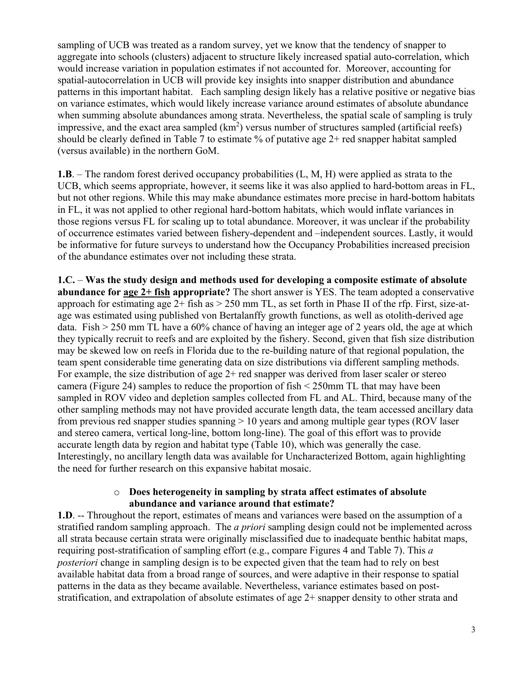sampling of UCB was treated as a random survey, yet we know that the tendency of snapper to aggregate into schools (clusters) adjacent to structure likely increased spatial auto-correlation, which would increase variation in population estimates if not accounted for. Moreover, accounting for spatial-autocorrelation in UCB will provide key insights into snapper distribution and abundance patterns in this important habitat. Each sampling design likely has a relative positive or negative bias on variance estimates, which would likely increase variance around estimates of absolute abundance when summing absolute abundances among strata. Nevertheless, the spatial scale of sampling is truly impressive, and the exact area sampled  $(km^2)$  versus number of structures sampled (artificial reefs) should be clearly defined in Table 7 to estimate % of putative age 2+ red snapper habitat sampled (versus available) in the northern GoM.

**1.B**. – The random forest derived occupancy probabilities (L, M, H) were applied as strata to the UCB, which seems appropriate, however, it seems like it was also applied to hard-bottom areas in FL, but not other regions. While this may make abundance estimates more precise in hard-bottom habitats in FL, it was not applied to other regional hard-bottom habitats, which would inflate variances in those regions versus FL for scaling up to total abundance. Moreover, it was unclear if the probability of occurrence estimates varied between fishery-dependent and –independent sources. Lastly, it would be informative for future surveys to understand how the Occupancy Probabilities increased precision of the abundance estimates over not including these strata.

**1.C.** – **Was the study design and methods used for developing a composite estimate of absolute abundance for age 2+ fish appropriate?** The short answer is YES. The team adopted a conservative approach for estimating age  $2+$  fish as  $> 250$  mm TL, as set forth in Phase II of the rfp. First, size-atage was estimated using published von Bertalanffy growth functions, as well as otolith-derived age data. Fish > 250 mm TL have a 60% chance of having an integer age of 2 years old, the age at which they typically recruit to reefs and are exploited by the fishery. Second, given that fish size distribution may be skewed low on reefs in Florida due to the re-building nature of that regional population, the team spent considerable time generating data on size distributions via different sampling methods. For example, the size distribution of age  $2+$  red snapper was derived from laser scaler or stereo camera (Figure 24) samples to reduce the proportion of fish < 250mm TL that may have been sampled in ROV video and depletion samples collected from FL and AL. Third, because many of the other sampling methods may not have provided accurate length data, the team accessed ancillary data from previous red snapper studies spanning > 10 years and among multiple gear types (ROV laser and stereo camera, vertical long-line, bottom long-line). The goal of this effort was to provide accurate length data by region and habitat type (Table 10), which was generally the case. Interestingly, no ancillary length data was available for Uncharacterized Bottom, again highlighting the need for further research on this expansive habitat mosaic.

#### o **Does heterogeneity in sampling by strata affect estimates of absolute abundance and variance around that estimate?**

**1.D**. -- Throughout the report, estimates of means and variances were based on the assumption of a stratified random sampling approach. The *a priori* sampling design could not be implemented across all strata because certain strata were originally misclassified due to inadequate benthic habitat maps, requiring post-stratification of sampling effort (e.g., compare Figures 4 and Table 7). This *a posteriori* change in sampling design is to be expected given that the team had to rely on best available habitat data from a broad range of sources, and were adaptive in their response to spatial patterns in the data as they became available. Nevertheless, variance estimates based on poststratification, and extrapolation of absolute estimates of age 2+ snapper density to other strata and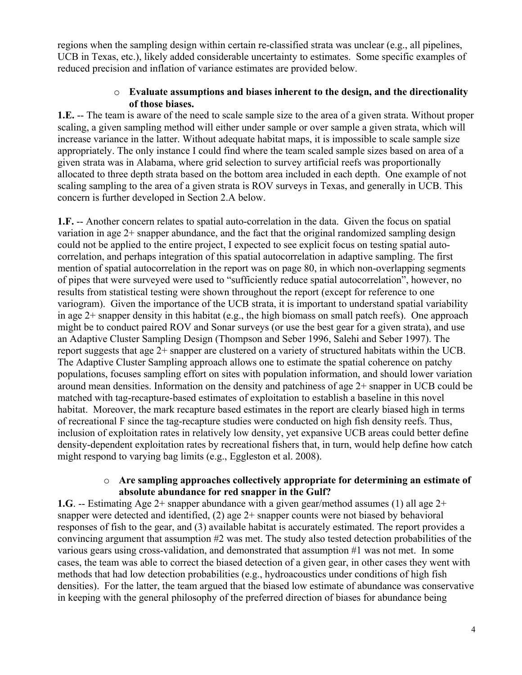regions when the sampling design within certain re-classified strata was unclear (e.g., all pipelines, UCB in Texas, etc.), likely added considerable uncertainty to estimates. Some specific examples of reduced precision and inflation of variance estimates are provided below.

#### o **Evaluate assumptions and biases inherent to the design, and the directionality of those biases.**

**1.E.** -- The team is aware of the need to scale sample size to the area of a given strata. Without proper scaling, a given sampling method will either under sample or over sample a given strata, which will increase variance in the latter. Without adequate habitat maps, it is impossible to scale sample size appropriately. The only instance I could find where the team scaled sample sizes based on area of a given strata was in Alabama, where grid selection to survey artificial reefs was proportionally allocated to three depth strata based on the bottom area included in each depth. One example of not scaling sampling to the area of a given strata is ROV surveys in Texas, and generally in UCB. This concern is further developed in Section 2.A below.

**1.F.** -- Another concern relates to spatial auto-correlation in the data. Given the focus on spatial variation in age  $2+$  snapper abundance, and the fact that the original randomized sampling design could not be applied to the entire project, I expected to see explicit focus on testing spatial autocorrelation, and perhaps integration of this spatial autocorrelation in adaptive sampling. The first mention of spatial autocorrelation in the report was on page 80, in which non-overlapping segments of pipes that were surveyed were used to "sufficiently reduce spatial autocorrelation", however, no results from statistical testing were shown throughout the report (except for reference to one variogram). Given the importance of the UCB strata, it is important to understand spatial variability in age 2+ snapper density in this habitat (e.g., the high biomass on small patch reefs). One approach might be to conduct paired ROV and Sonar surveys (or use the best gear for a given strata), and use an Adaptive Cluster Sampling Design (Thompson and Seber 1996, Salehi and Seber 1997). The report suggests that age 2+ snapper are clustered on a variety of structured habitats within the UCB. The Adaptive Cluster Sampling approach allows one to estimate the spatial coherence on patchy populations, focuses sampling effort on sites with population information, and should lower variation around mean densities. Information on the density and patchiness of age 2+ snapper in UCB could be matched with tag-recapture-based estimates of exploitation to establish a baseline in this novel habitat. Moreover, the mark recapture based estimates in the report are clearly biased high in terms of recreational F since the tag-recapture studies were conducted on high fish density reefs. Thus, inclusion of exploitation rates in relatively low density, yet expansive UCB areas could better define density-dependent exploitation rates by recreational fishers that, in turn, would help define how catch might respond to varying bag limits (e.g., Eggleston et al. 2008).

#### o **Are sampling approaches collectively appropriate for determining an estimate of absolute abundance for red snapper in the Gulf?**

**1.G**. -- Estimating Age 2+ snapper abundance with a given gear/method assumes (1) all age 2+ snapper were detected and identified,  $(2)$  age  $2+$  snapper counts were not biased by behavioral responses of fish to the gear, and (3) available habitat is accurately estimated. The report provides a convincing argument that assumption #2 was met. The study also tested detection probabilities of the various gears using cross-validation, and demonstrated that assumption #1 was not met. In some cases, the team was able to correct the biased detection of a given gear, in other cases they went with methods that had low detection probabilities (e.g., hydroacoustics under conditions of high fish densities). For the latter, the team argued that the biased low estimate of abundance was conservative in keeping with the general philosophy of the preferred direction of biases for abundance being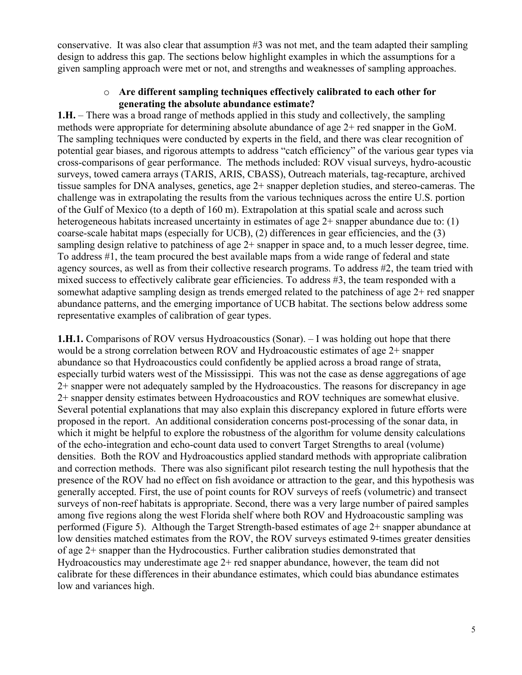conservative. It was also clear that assumption #3 was not met, and the team adapted their sampling design to address this gap. The sections below highlight examples in which the assumptions for a given sampling approach were met or not, and strengths and weaknesses of sampling approaches.

#### o **Are different sampling techniques effectively calibrated to each other for generating the absolute abundance estimate?**

**1.H.** – There was a broad range of methods applied in this study and collectively, the sampling methods were appropriate for determining absolute abundance of age 2+ red snapper in the GoM. The sampling techniques were conducted by experts in the field, and there was clear recognition of potential gear biases, and rigorous attempts to address "catch efficiency" of the various gear types via cross-comparisons of gear performance. The methods included: ROV visual surveys, hydro-acoustic surveys, towed camera arrays (TARIS, ARIS, CBASS), Outreach materials, tag-recapture, archived tissue samples for DNA analyses, genetics, age 2+ snapper depletion studies, and stereo-cameras. The challenge was in extrapolating the results from the various techniques across the entire U.S. portion of the Gulf of Mexico (to a depth of 160 m). Extrapolation at this spatial scale and across such heterogeneous habitats increased uncertainty in estimates of age  $2+$  snapper abundance due to: (1) coarse-scale habitat maps (especially for UCB), (2) differences in gear efficiencies, and the (3) sampling design relative to patchiness of age 2+ snapper in space and, to a much lesser degree, time. To address #1, the team procured the best available maps from a wide range of federal and state agency sources, as well as from their collective research programs. To address #2, the team tried with mixed success to effectively calibrate gear efficiencies. To address #3, the team responded with a somewhat adaptive sampling design as trends emerged related to the patchiness of age  $2+$  red snapper abundance patterns, and the emerging importance of UCB habitat. The sections below address some representative examples of calibration of gear types.

**1.H.1.** Comparisons of ROV versus Hydroacoustics (Sonar). – I was holding out hope that there would be a strong correlation between ROV and Hydroacoustic estimates of age 2+ snapper abundance so that Hydroacoustics could confidently be applied across a broad range of strata, especially turbid waters west of the Mississippi. This was not the case as dense aggregations of age 2+ snapper were not adequately sampled by the Hydroacoustics. The reasons for discrepancy in age 2+ snapper density estimates between Hydroacoustics and ROV techniques are somewhat elusive. Several potential explanations that may also explain this discrepancy explored in future efforts were proposed in the report. An additional consideration concerns post-processing of the sonar data, in which it might be helpful to explore the robustness of the algorithm for volume density calculations of the echo-integration and echo-count data used to convert Target Strengths to areal (volume) densities. Both the ROV and Hydroacoustics applied standard methods with appropriate calibration and correction methods. There was also significant pilot research testing the null hypothesis that the presence of the ROV had no effect on fish avoidance or attraction to the gear, and this hypothesis was generally accepted. First, the use of point counts for ROV surveys of reefs (volumetric) and transect surveys of non-reef habitats is appropriate. Second, there was a very large number of paired samples among five regions along the west Florida shelf where both ROV and Hydroacoustic sampling was performed (Figure 5). Although the Target Strength-based estimates of age 2+ snapper abundance at low densities matched estimates from the ROV, the ROV surveys estimated 9-times greater densities of age 2+ snapper than the Hydrocoustics. Further calibration studies demonstrated that Hydroacoustics may underestimate age 2+ red snapper abundance, however, the team did not calibrate for these differences in their abundance estimates, which could bias abundance estimates low and variances high.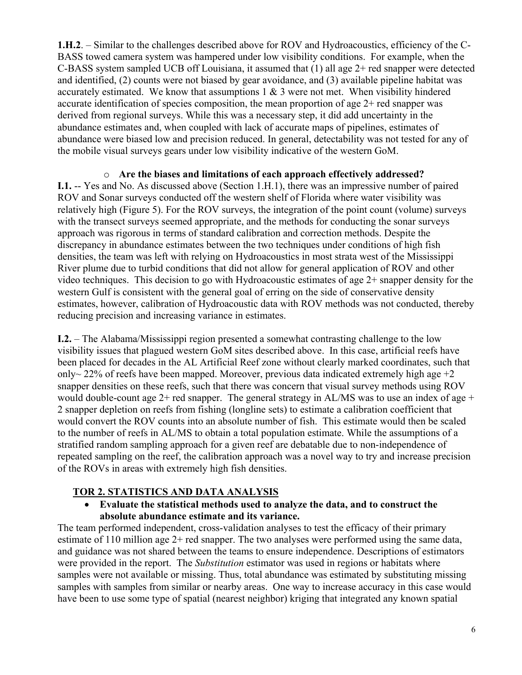**1.H.2**. – Similar to the challenges described above for ROV and Hydroacoustics, efficiency of the C-BASS towed camera system was hampered under low visibility conditions. For example, when the C-BASS system sampled UCB off Louisiana, it assumed that (1) all age 2+ red snapper were detected and identified, (2) counts were not biased by gear avoidance, and (3) available pipeline habitat was accurately estimated. We know that assumptions  $1 \& 3$  were not met. When visibility hindered accurate identification of species composition, the mean proportion of age  $2+$  red snapper was derived from regional surveys. While this was a necessary step, it did add uncertainty in the abundance estimates and, when coupled with lack of accurate maps of pipelines, estimates of abundance were biased low and precision reduced. In general, detectability was not tested for any of the mobile visual surveys gears under low visibility indicative of the western GoM.

#### o **Are the biases and limitations of each approach effectively addressed?**

**I.1.** -- Yes and No. As discussed above (Section 1.H.1), there was an impressive number of paired ROV and Sonar surveys conducted off the western shelf of Florida where water visibility was relatively high (Figure 5). For the ROV surveys, the integration of the point count (volume) surveys with the transect surveys seemed appropriate, and the methods for conducting the sonar surveys approach was rigorous in terms of standard calibration and correction methods. Despite the discrepancy in abundance estimates between the two techniques under conditions of high fish densities, the team was left with relying on Hydroacoustics in most strata west of the Mississippi River plume due to turbid conditions that did not allow for general application of ROV and other video techniques. This decision to go with Hydroacoustic estimates of age 2+ snapper density for the western Gulf is consistent with the general goal of erring on the side of conservative density estimates, however, calibration of Hydroacoustic data with ROV methods was not conducted, thereby reducing precision and increasing variance in estimates.

**I.2.** – The Alabama/Mississippi region presented a somewhat contrasting challenge to the low visibility issues that plagued western GoM sites described above. In this case, artificial reefs have been placed for decades in the AL Artificial Reef zone without clearly marked coordinates, such that only~ 22% of reefs have been mapped. Moreover, previous data indicated extremely high age  $+2$ snapper densities on these reefs, such that there was concern that visual survey methods using ROV would double-count age  $2+$  red snapper. The general strategy in AL/MS was to use an index of age  $+$ 2 snapper depletion on reefs from fishing (longline sets) to estimate a calibration coefficient that would convert the ROV counts into an absolute number of fish. This estimate would then be scaled to the number of reefs in AL/MS to obtain a total population estimate. While the assumptions of a stratified random sampling approach for a given reef are debatable due to non-independence of repeated sampling on the reef, the calibration approach was a novel way to try and increase precision of the ROVs in areas with extremely high fish densities.

#### **TOR 2. STATISTICS AND DATA ANALYSIS**

#### **Evaluate the statistical methods used to analyze the data, and to construct the absolute abundance estimate and its variance.**

The team performed independent, cross-validation analyses to test the efficacy of their primary estimate of 110 million age 2+ red snapper. The two analyses were performed using the same data, and guidance was not shared between the teams to ensure independence. Descriptions of estimators were provided in the report. The *Substitution* estimator was used in regions or habitats where samples were not available or missing. Thus, total abundance was estimated by substituting missing samples with samples from similar or nearby areas. One way to increase accuracy in this case would have been to use some type of spatial (nearest neighbor) kriging that integrated any known spatial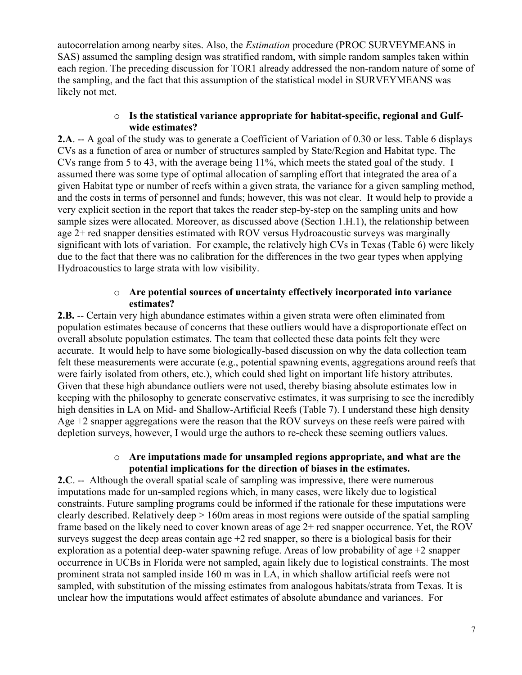autocorrelation among nearby sites. Also, the *Estimation* procedure (PROC SURVEYMEANS in SAS) assumed the sampling design was stratified random, with simple random samples taken within each region. The preceding discussion for TOR1 already addressed the non-random nature of some of the sampling, and the fact that this assumption of the statistical model in SURVEYMEANS was likely not met.

#### o **Is the statistical variance appropriate for habitat-specific, regional and Gulfwide estimates?**

**2.A**. -- A goal of the study was to generate a Coefficient of Variation of 0.30 or less. Table 6 displays CVs as a function of area or number of structures sampled by State/Region and Habitat type. The CVs range from 5 to 43, with the average being 11%, which meets the stated goal of the study. I assumed there was some type of optimal allocation of sampling effort that integrated the area of a given Habitat type or number of reefs within a given strata, the variance for a given sampling method, and the costs in terms of personnel and funds; however, this was not clear. It would help to provide a very explicit section in the report that takes the reader step-by-step on the sampling units and how sample sizes were allocated. Moreover, as discussed above (Section 1.H.1), the relationship between age 2+ red snapper densities estimated with ROV versus Hydroacoustic surveys was marginally significant with lots of variation. For example, the relatively high CVs in Texas (Table 6) were likely due to the fact that there was no calibration for the differences in the two gear types when applying Hydroacoustics to large strata with low visibility.

#### o **Are potential sources of uncertainty effectively incorporated into variance estimates?**

**2.B.** -- Certain very high abundance estimates within a given strata were often eliminated from population estimates because of concerns that these outliers would have a disproportionate effect on overall absolute population estimates. The team that collected these data points felt they were accurate. It would help to have some biologically-based discussion on why the data collection team felt these measurements were accurate (e.g., potential spawning events, aggregations around reefs that were fairly isolated from others, etc.), which could shed light on important life history attributes. Given that these high abundance outliers were not used, thereby biasing absolute estimates low in keeping with the philosophy to generate conservative estimates, it was surprising to see the incredibly high densities in LA on Mid- and Shallow-Artificial Reefs (Table 7). I understand these high density Age +2 snapper aggregations were the reason that the ROV surveys on these reefs were paired with depletion surveys, however, I would urge the authors to re-check these seeming outliers values.

#### o **Are imputations made for unsampled regions appropriate, and what are the potential implications for the direction of biases in the estimates.**

**2.C**. -- Although the overall spatial scale of sampling was impressive, there were numerous imputations made for un-sampled regions which, in many cases, were likely due to logistical constraints. Future sampling programs could be informed if the rationale for these imputations were clearly described. Relatively deep > 160m areas in most regions were outside of the spatial sampling frame based on the likely need to cover known areas of age 2+ red snapper occurrence. Yet, the ROV surveys suggest the deep areas contain age  $+2$  red snapper, so there is a biological basis for their exploration as a potential deep-water spawning refuge. Areas of low probability of age  $+2$  snapper occurrence in UCBs in Florida were not sampled, again likely due to logistical constraints. The most prominent strata not sampled inside 160 m was in LA, in which shallow artificial reefs were not sampled, with substitution of the missing estimates from analogous habitats/strata from Texas. It is unclear how the imputations would affect estimates of absolute abundance and variances. For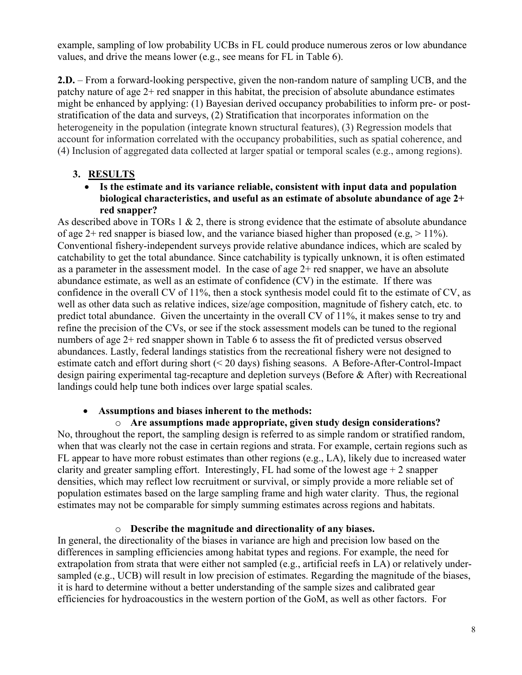example, sampling of low probability UCBs in FL could produce numerous zeros or low abundance values, and drive the means lower (e.g., see means for FL in Table 6).

**2.D.** – From a forward-looking perspective, given the non-random nature of sampling UCB, and the patchy nature of age 2+ red snapper in this habitat, the precision of absolute abundance estimates might be enhanced by applying: (1) Bayesian derived occupancy probabilities to inform pre- or poststratification of the data and surveys, (2) Stratification that incorporates information on the heterogeneity in the population (integrate known structural features), (3) Regression models that account for information correlated with the occupancy probabilities, such as spatial coherence, and (4) Inclusion of aggregated data collected at larger spatial or temporal scales (e.g., among regions).

## **3. RESULTS**

 **Is the estimate and its variance reliable, consistent with input data and population biological characteristics, and useful as an estimate of absolute abundance of age 2+ red snapper?** 

As described above in TORs  $1 \& 2$ , there is strong evidence that the estimate of absolute abundance of age 2+ red snapper is biased low, and the variance biased higher than proposed (e.g,  $> 11\%$ ). Conventional fishery-independent surveys provide relative abundance indices, which are scaled by catchability to get the total abundance. Since catchability is typically unknown, it is often estimated as a parameter in the assessment model. In the case of age  $2+$  red snapper, we have an absolute abundance estimate, as well as an estimate of confidence (CV) in the estimate. If there was confidence in the overall CV of 11%, then a stock synthesis model could fit to the estimate of CV, as well as other data such as relative indices, size/age composition, magnitude of fishery catch, etc. to predict total abundance. Given the uncertainty in the overall CV of 11%, it makes sense to try and refine the precision of the CVs, or see if the stock assessment models can be tuned to the regional numbers of age 2+ red snapper shown in Table 6 to assess the fit of predicted versus observed abundances. Lastly, federal landings statistics from the recreational fishery were not designed to estimate catch and effort during short (< 20 days) fishing seasons. A Before-After-Control-Impact design pairing experimental tag-recapture and depletion surveys (Before & After) with Recreational landings could help tune both indices over large spatial scales.

## **Assumptions and biases inherent to the methods:**

o **Are assumptions made appropriate, given study design considerations?**  No, throughout the report, the sampling design is referred to as simple random or stratified random, when that was clearly not the case in certain regions and strata. For example, certain regions such as FL appear to have more robust estimates than other regions (e.g., LA), likely due to increased water clarity and greater sampling effort. Interestingly, FL had some of the lowest age  $+2$  snapper densities, which may reflect low recruitment or survival, or simply provide a more reliable set of population estimates based on the large sampling frame and high water clarity. Thus, the regional estimates may not be comparable for simply summing estimates across regions and habitats.

## o **Describe the magnitude and directionality of any biases.**

In general, the directionality of the biases in variance are high and precision low based on the differences in sampling efficiencies among habitat types and regions. For example, the need for extrapolation from strata that were either not sampled (e.g., artificial reefs in LA) or relatively undersampled (e.g., UCB) will result in low precision of estimates. Regarding the magnitude of the biases, it is hard to determine without a better understanding of the sample sizes and calibrated gear efficiencies for hydroacoustics in the western portion of the GoM, as well as other factors. For